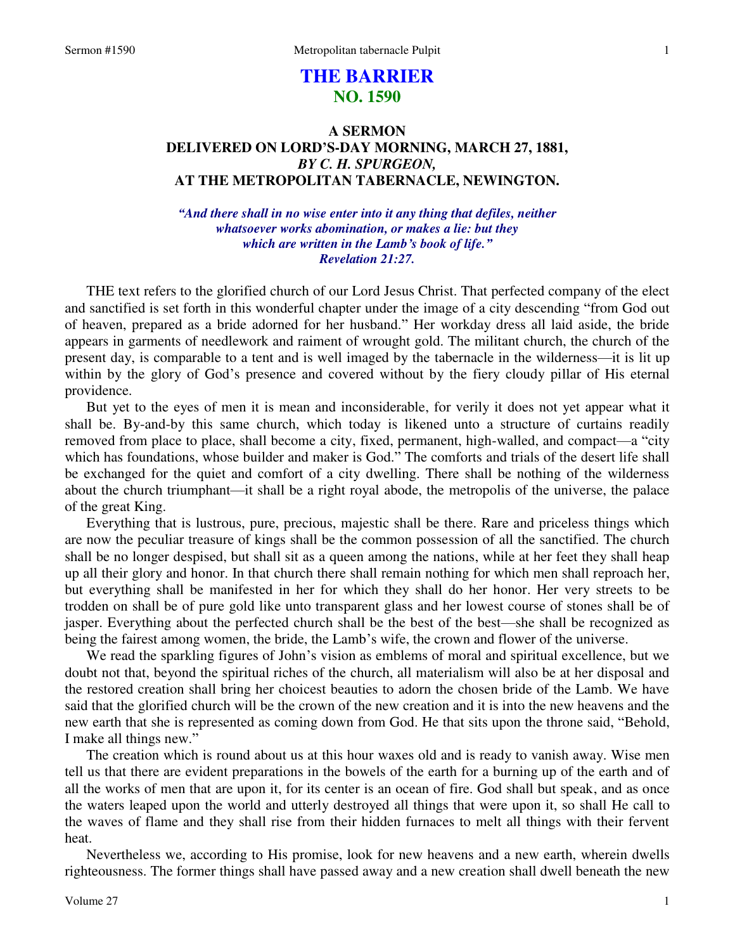# **THE BARRIER NO. 1590**

## **A SERMON DELIVERED ON LORD'S-DAY MORNING, MARCH 27, 1881,**  *BY C. H. SPURGEON,*  **AT THE METROPOLITAN TABERNACLE, NEWINGTON.**

*"And there shall in no wise enter into it any thing that defiles, neither whatsoever works abomination, or makes a lie: but they which are written in the Lamb's book of life." Revelation 21:27.* 

THE text refers to the glorified church of our Lord Jesus Christ. That perfected company of the elect and sanctified is set forth in this wonderful chapter under the image of a city descending "from God out of heaven, prepared as a bride adorned for her husband." Her workday dress all laid aside, the bride appears in garments of needlework and raiment of wrought gold. The militant church, the church of the present day, is comparable to a tent and is well imaged by the tabernacle in the wilderness—it is lit up within by the glory of God's presence and covered without by the fiery cloudy pillar of His eternal providence.

 But yet to the eyes of men it is mean and inconsiderable, for verily it does not yet appear what it shall be. By-and-by this same church, which today is likened unto a structure of curtains readily removed from place to place, shall become a city, fixed, permanent, high-walled, and compact—a "city which has foundations, whose builder and maker is God." The comforts and trials of the desert life shall be exchanged for the quiet and comfort of a city dwelling. There shall be nothing of the wilderness about the church triumphant—it shall be a right royal abode, the metropolis of the universe, the palace of the great King.

 Everything that is lustrous, pure, precious, majestic shall be there. Rare and priceless things which are now the peculiar treasure of kings shall be the common possession of all the sanctified. The church shall be no longer despised, but shall sit as a queen among the nations, while at her feet they shall heap up all their glory and honor. In that church there shall remain nothing for which men shall reproach her, but everything shall be manifested in her for which they shall do her honor. Her very streets to be trodden on shall be of pure gold like unto transparent glass and her lowest course of stones shall be of jasper. Everything about the perfected church shall be the best of the best—she shall be recognized as being the fairest among women, the bride, the Lamb's wife, the crown and flower of the universe.

 We read the sparkling figures of John's vision as emblems of moral and spiritual excellence, but we doubt not that, beyond the spiritual riches of the church, all materialism will also be at her disposal and the restored creation shall bring her choicest beauties to adorn the chosen bride of the Lamb. We have said that the glorified church will be the crown of the new creation and it is into the new heavens and the new earth that she is represented as coming down from God. He that sits upon the throne said, "Behold, I make all things new."

 The creation which is round about us at this hour waxes old and is ready to vanish away. Wise men tell us that there are evident preparations in the bowels of the earth for a burning up of the earth and of all the works of men that are upon it, for its center is an ocean of fire. God shall but speak, and as once the waters leaped upon the world and utterly destroyed all things that were upon it, so shall He call to the waves of flame and they shall rise from their hidden furnaces to melt all things with their fervent heat.

 Nevertheless we, according to His promise, look for new heavens and a new earth, wherein dwells righteousness. The former things shall have passed away and a new creation shall dwell beneath the new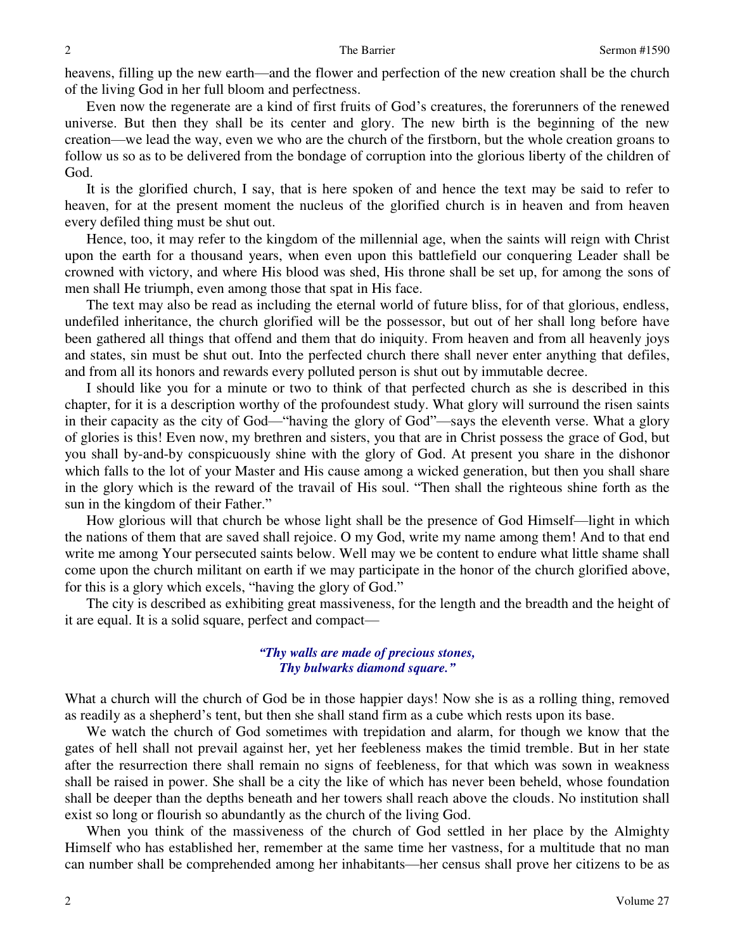heavens, filling up the new earth—and the flower and perfection of the new creation shall be the church of the living God in her full bloom and perfectness.

 Even now the regenerate are a kind of first fruits of God's creatures, the forerunners of the renewed universe. But then they shall be its center and glory. The new birth is the beginning of the new creation—we lead the way, even we who are the church of the firstborn, but the whole creation groans to follow us so as to be delivered from the bondage of corruption into the glorious liberty of the children of God.

 It is the glorified church, I say, that is here spoken of and hence the text may be said to refer to heaven, for at the present moment the nucleus of the glorified church is in heaven and from heaven every defiled thing must be shut out.

 Hence, too, it may refer to the kingdom of the millennial age, when the saints will reign with Christ upon the earth for a thousand years, when even upon this battlefield our conquering Leader shall be crowned with victory, and where His blood was shed, His throne shall be set up, for among the sons of men shall He triumph, even among those that spat in His face.

 The text may also be read as including the eternal world of future bliss, for of that glorious, endless, undefiled inheritance, the church glorified will be the possessor, but out of her shall long before have been gathered all things that offend and them that do iniquity. From heaven and from all heavenly joys and states, sin must be shut out. Into the perfected church there shall never enter anything that defiles, and from all its honors and rewards every polluted person is shut out by immutable decree.

 I should like you for a minute or two to think of that perfected church as she is described in this chapter, for it is a description worthy of the profoundest study. What glory will surround the risen saints in their capacity as the city of God—"having the glory of God"—says the eleventh verse. What a glory of glories is this! Even now, my brethren and sisters, you that are in Christ possess the grace of God, but you shall by-and-by conspicuously shine with the glory of God. At present you share in the dishonor which falls to the lot of your Master and His cause among a wicked generation, but then you shall share in the glory which is the reward of the travail of His soul. "Then shall the righteous shine forth as the sun in the kingdom of their Father."

 How glorious will that church be whose light shall be the presence of God Himself—light in which the nations of them that are saved shall rejoice. O my God, write my name among them! And to that end write me among Your persecuted saints below. Well may we be content to endure what little shame shall come upon the church militant on earth if we may participate in the honor of the church glorified above, for this is a glory which excels, "having the glory of God."

 The city is described as exhibiting great massiveness, for the length and the breadth and the height of it are equal. It is a solid square, perfect and compact—

### *"Thy walls are made of precious stones, Thy bulwarks diamond square."*

What a church will the church of God be in those happier days! Now she is as a rolling thing, removed as readily as a shepherd's tent, but then she shall stand firm as a cube which rests upon its base.

 We watch the church of God sometimes with trepidation and alarm, for though we know that the gates of hell shall not prevail against her, yet her feebleness makes the timid tremble. But in her state after the resurrection there shall remain no signs of feebleness, for that which was sown in weakness shall be raised in power. She shall be a city the like of which has never been beheld, whose foundation shall be deeper than the depths beneath and her towers shall reach above the clouds. No institution shall exist so long or flourish so abundantly as the church of the living God.

 When you think of the massiveness of the church of God settled in her place by the Almighty Himself who has established her, remember at the same time her vastness, for a multitude that no man can number shall be comprehended among her inhabitants—her census shall prove her citizens to be as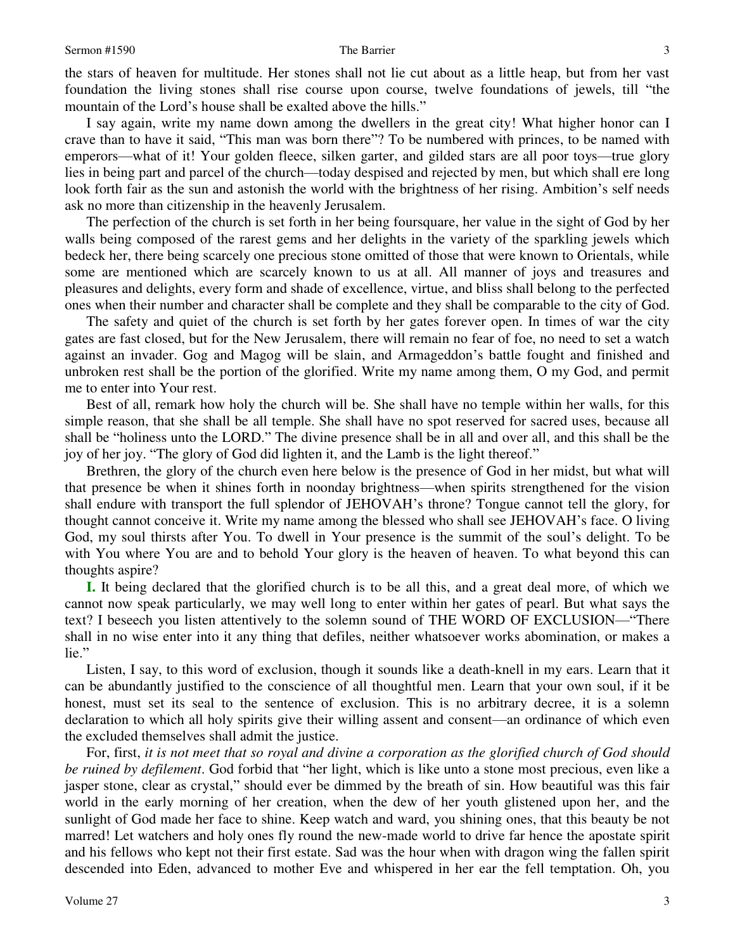the stars of heaven for multitude. Her stones shall not lie cut about as a little heap, but from her vast foundation the living stones shall rise course upon course, twelve foundations of jewels, till "the mountain of the Lord's house shall be exalted above the hills."

 I say again, write my name down among the dwellers in the great city! What higher honor can I crave than to have it said, "This man was born there"? To be numbered with princes, to be named with emperors—what of it! Your golden fleece, silken garter, and gilded stars are all poor toys—true glory lies in being part and parcel of the church—today despised and rejected by men, but which shall ere long look forth fair as the sun and astonish the world with the brightness of her rising. Ambition's self needs ask no more than citizenship in the heavenly Jerusalem.

 The perfection of the church is set forth in her being foursquare, her value in the sight of God by her walls being composed of the rarest gems and her delights in the variety of the sparkling jewels which bedeck her, there being scarcely one precious stone omitted of those that were known to Orientals, while some are mentioned which are scarcely known to us at all. All manner of joys and treasures and pleasures and delights, every form and shade of excellence, virtue, and bliss shall belong to the perfected ones when their number and character shall be complete and they shall be comparable to the city of God.

 The safety and quiet of the church is set forth by her gates forever open. In times of war the city gates are fast closed, but for the New Jerusalem, there will remain no fear of foe, no need to set a watch against an invader. Gog and Magog will be slain, and Armageddon's battle fought and finished and unbroken rest shall be the portion of the glorified. Write my name among them, O my God, and permit me to enter into Your rest.

 Best of all, remark how holy the church will be. She shall have no temple within her walls, for this simple reason, that she shall be all temple. She shall have no spot reserved for sacred uses, because all shall be "holiness unto the LORD." The divine presence shall be in all and over all, and this shall be the joy of her joy. "The glory of God did lighten it, and the Lamb is the light thereof."

 Brethren, the glory of the church even here below is the presence of God in her midst, but what will that presence be when it shines forth in noonday brightness—when spirits strengthened for the vision shall endure with transport the full splendor of JEHOVAH's throne? Tongue cannot tell the glory, for thought cannot conceive it. Write my name among the blessed who shall see JEHOVAH's face. O living God, my soul thirsts after You. To dwell in Your presence is the summit of the soul's delight. To be with You where You are and to behold Your glory is the heaven of heaven. To what beyond this can thoughts aspire?

**I.** It being declared that the glorified church is to be all this, and a great deal more, of which we cannot now speak particularly, we may well long to enter within her gates of pearl. But what says the text? I beseech you listen attentively to the solemn sound of THE WORD OF EXCLUSION—"There shall in no wise enter into it any thing that defiles, neither whatsoever works abomination, or makes a lie."

 Listen, I say, to this word of exclusion, though it sounds like a death-knell in my ears. Learn that it can be abundantly justified to the conscience of all thoughtful men. Learn that your own soul, if it be honest, must set its seal to the sentence of exclusion. This is no arbitrary decree, it is a solemn declaration to which all holy spirits give their willing assent and consent—an ordinance of which even the excluded themselves shall admit the justice.

 For, first, *it is not meet that so royal and divine a corporation as the glorified church of God should be ruined by defilement*. God forbid that "her light, which is like unto a stone most precious, even like a jasper stone, clear as crystal," should ever be dimmed by the breath of sin. How beautiful was this fair world in the early morning of her creation, when the dew of her youth glistened upon her, and the sunlight of God made her face to shine. Keep watch and ward, you shining ones, that this beauty be not marred! Let watchers and holy ones fly round the new-made world to drive far hence the apostate spirit and his fellows who kept not their first estate. Sad was the hour when with dragon wing the fallen spirit descended into Eden, advanced to mother Eve and whispered in her ear the fell temptation. Oh, you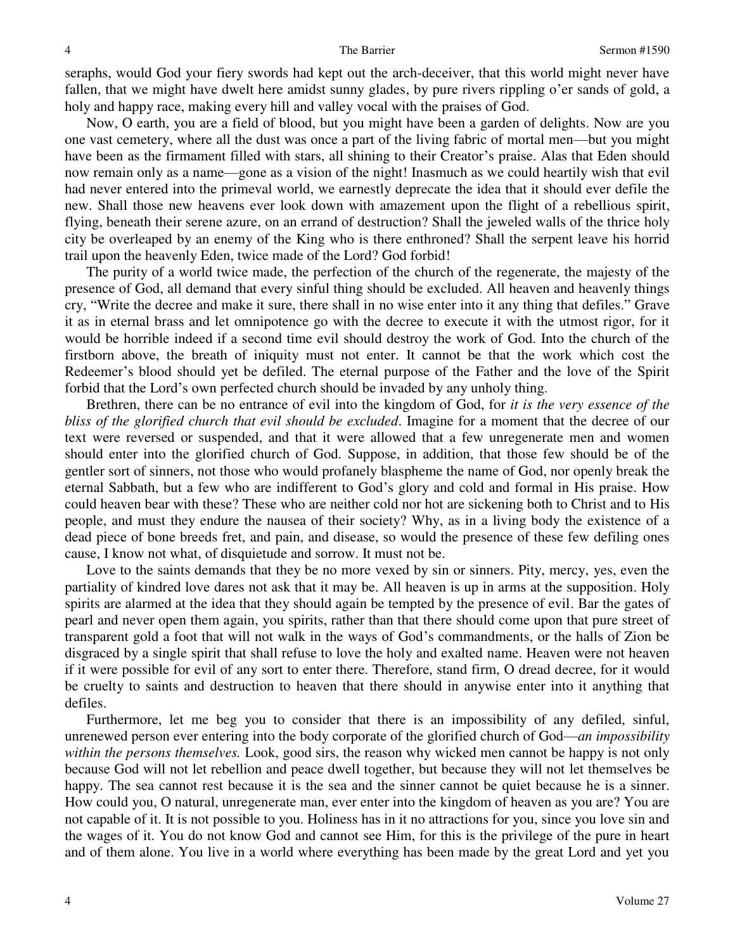seraphs, would God your fiery swords had kept out the arch-deceiver, that this world might never have fallen, that we might have dwelt here amidst sunny glades, by pure rivers rippling o'er sands of gold, a holy and happy race, making every hill and valley vocal with the praises of God.

 Now, O earth, you are a field of blood, but you might have been a garden of delights. Now are you one vast cemetery, where all the dust was once a part of the living fabric of mortal men—but you might have been as the firmament filled with stars, all shining to their Creator's praise. Alas that Eden should now remain only as a name—gone as a vision of the night! Inasmuch as we could heartily wish that evil had never entered into the primeval world, we earnestly deprecate the idea that it should ever defile the new. Shall those new heavens ever look down with amazement upon the flight of a rebellious spirit, flying, beneath their serene azure, on an errand of destruction? Shall the jeweled walls of the thrice holy city be overleaped by an enemy of the King who is there enthroned? Shall the serpent leave his horrid trail upon the heavenly Eden, twice made of the Lord? God forbid!

 The purity of a world twice made, the perfection of the church of the regenerate, the majesty of the presence of God, all demand that every sinful thing should be excluded. All heaven and heavenly things cry, "Write the decree and make it sure, there shall in no wise enter into it any thing that defiles." Grave it as in eternal brass and let omnipotence go with the decree to execute it with the utmost rigor, for it would be horrible indeed if a second time evil should destroy the work of God. Into the church of the firstborn above, the breath of iniquity must not enter. It cannot be that the work which cost the Redeemer's blood should yet be defiled. The eternal purpose of the Father and the love of the Spirit forbid that the Lord's own perfected church should be invaded by any unholy thing.

 Brethren, there can be no entrance of evil into the kingdom of God, for *it is the very essence of the bliss of the glorified church that evil should be excluded*. Imagine for a moment that the decree of our text were reversed or suspended, and that it were allowed that a few unregenerate men and women should enter into the glorified church of God. Suppose, in addition, that those few should be of the gentler sort of sinners, not those who would profanely blaspheme the name of God, nor openly break the eternal Sabbath, but a few who are indifferent to God's glory and cold and formal in His praise. How could heaven bear with these? These who are neither cold nor hot are sickening both to Christ and to His people, and must they endure the nausea of their society? Why, as in a living body the existence of a dead piece of bone breeds fret, and pain, and disease, so would the presence of these few defiling ones cause, I know not what, of disquietude and sorrow. It must not be.

 Love to the saints demands that they be no more vexed by sin or sinners. Pity, mercy, yes, even the partiality of kindred love dares not ask that it may be. All heaven is up in arms at the supposition. Holy spirits are alarmed at the idea that they should again be tempted by the presence of evil. Bar the gates of pearl and never open them again, you spirits, rather than that there should come upon that pure street of transparent gold a foot that will not walk in the ways of God's commandments, or the halls of Zion be disgraced by a single spirit that shall refuse to love the holy and exalted name. Heaven were not heaven if it were possible for evil of any sort to enter there. Therefore, stand firm, O dread decree, for it would be cruelty to saints and destruction to heaven that there should in anywise enter into it anything that defiles.

Furthermore, let me beg you to consider that there is an impossibility of any defiled, sinful, unrenewed person ever entering into the body corporate of the glorified church of God—*an impossibility within the persons themselves.* Look, good sirs, the reason why wicked men cannot be happy is not only because God will not let rebellion and peace dwell together, but because they will not let themselves be happy. The sea cannot rest because it is the sea and the sinner cannot be quiet because he is a sinner. How could you, O natural, unregenerate man, ever enter into the kingdom of heaven as you are? You are not capable of it. It is not possible to you. Holiness has in it no attractions for you, since you love sin and the wages of it. You do not know God and cannot see Him, for this is the privilege of the pure in heart and of them alone. You live in a world where everything has been made by the great Lord and yet you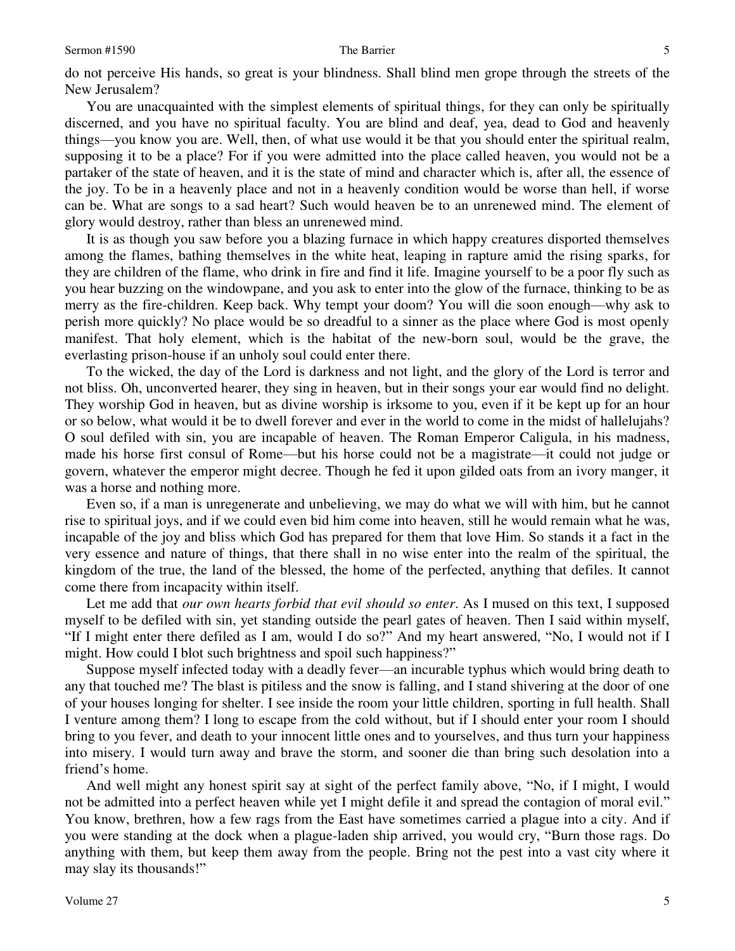do not perceive His hands, so great is your blindness. Shall blind men grope through the streets of the New Jerusalem?

 You are unacquainted with the simplest elements of spiritual things, for they can only be spiritually discerned, and you have no spiritual faculty. You are blind and deaf, yea, dead to God and heavenly things—you know you are. Well, then, of what use would it be that you should enter the spiritual realm, supposing it to be a place? For if you were admitted into the place called heaven, you would not be a partaker of the state of heaven, and it is the state of mind and character which is, after all, the essence of the joy. To be in a heavenly place and not in a heavenly condition would be worse than hell, if worse can be. What are songs to a sad heart? Such would heaven be to an unrenewed mind. The element of glory would destroy, rather than bless an unrenewed mind.

 It is as though you saw before you a blazing furnace in which happy creatures disported themselves among the flames, bathing themselves in the white heat, leaping in rapture amid the rising sparks, for they are children of the flame, who drink in fire and find it life. Imagine yourself to be a poor fly such as you hear buzzing on the windowpane, and you ask to enter into the glow of the furnace, thinking to be as merry as the fire-children. Keep back. Why tempt your doom? You will die soon enough—why ask to perish more quickly? No place would be so dreadful to a sinner as the place where God is most openly manifest. That holy element, which is the habitat of the new-born soul, would be the grave, the everlasting prison-house if an unholy soul could enter there.

 To the wicked, the day of the Lord is darkness and not light, and the glory of the Lord is terror and not bliss. Oh, unconverted hearer, they sing in heaven, but in their songs your ear would find no delight. They worship God in heaven, but as divine worship is irksome to you, even if it be kept up for an hour or so below, what would it be to dwell forever and ever in the world to come in the midst of hallelujahs? O soul defiled with sin, you are incapable of heaven. The Roman Emperor Caligula, in his madness, made his horse first consul of Rome—but his horse could not be a magistrate—it could not judge or govern, whatever the emperor might decree. Though he fed it upon gilded oats from an ivory manger, it was a horse and nothing more.

 Even so, if a man is unregenerate and unbelieving, we may do what we will with him, but he cannot rise to spiritual joys, and if we could even bid him come into heaven, still he would remain what he was, incapable of the joy and bliss which God has prepared for them that love Him. So stands it a fact in the very essence and nature of things, that there shall in no wise enter into the realm of the spiritual, the kingdom of the true, the land of the blessed, the home of the perfected, anything that defiles. It cannot come there from incapacity within itself.

 Let me add that *our own hearts forbid that evil should so enter*. As I mused on this text, I supposed myself to be defiled with sin, yet standing outside the pearl gates of heaven. Then I said within myself, "If I might enter there defiled as I am, would I do so?" And my heart answered, "No, I would not if I might. How could I blot such brightness and spoil such happiness?"

 Suppose myself infected today with a deadly fever—an incurable typhus which would bring death to any that touched me? The blast is pitiless and the snow is falling, and I stand shivering at the door of one of your houses longing for shelter. I see inside the room your little children, sporting in full health. Shall I venture among them? I long to escape from the cold without, but if I should enter your room I should bring to you fever, and death to your innocent little ones and to yourselves, and thus turn your happiness into misery. I would turn away and brave the storm, and sooner die than bring such desolation into a friend's home.

 And well might any honest spirit say at sight of the perfect family above, "No, if I might, I would not be admitted into a perfect heaven while yet I might defile it and spread the contagion of moral evil." You know, brethren, how a few rags from the East have sometimes carried a plague into a city. And if you were standing at the dock when a plague-laden ship arrived, you would cry, "Burn those rags. Do anything with them, but keep them away from the people. Bring not the pest into a vast city where it may slay its thousands!"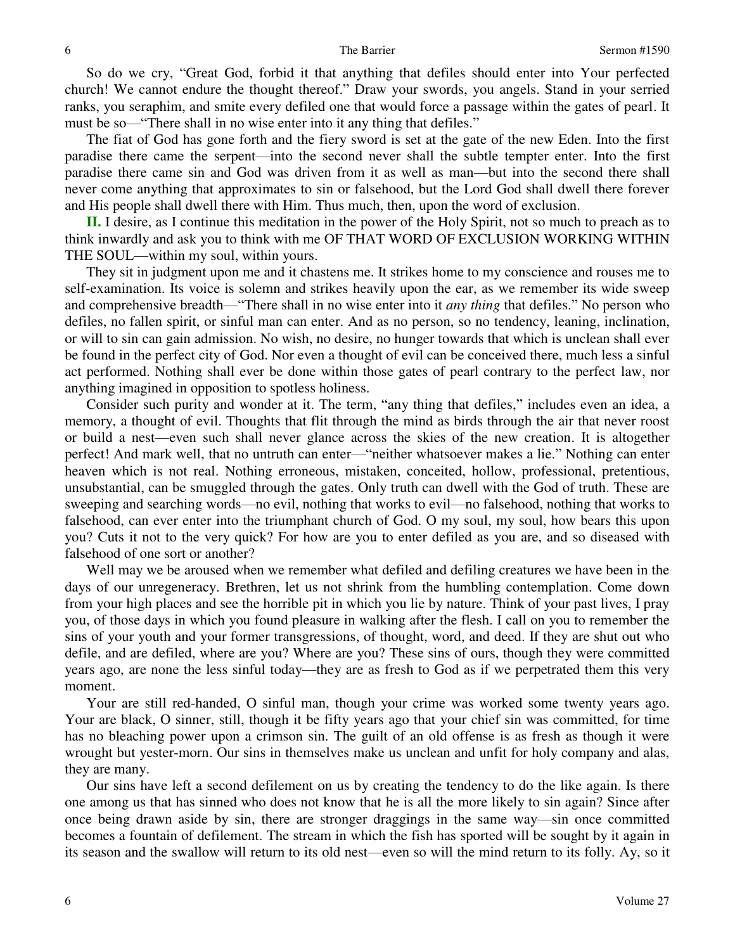So do we cry, "Great God, forbid it that anything that defiles should enter into Your perfected church! We cannot endure the thought thereof." Draw your swords, you angels. Stand in your serried ranks, you seraphim, and smite every defiled one that would force a passage within the gates of pearl. It must be so—"There shall in no wise enter into it any thing that defiles."

 The fiat of God has gone forth and the fiery sword is set at the gate of the new Eden. Into the first paradise there came the serpent—into the second never shall the subtle tempter enter. Into the first paradise there came sin and God was driven from it as well as man—but into the second there shall never come anything that approximates to sin or falsehood, but the Lord God shall dwell there forever and His people shall dwell there with Him. Thus much, then, upon the word of exclusion.

**II.** I desire, as I continue this meditation in the power of the Holy Spirit, not so much to preach as to think inwardly and ask you to think with me OF THAT WORD OF EXCLUSION WORKING WITHIN THE SOUL—within my soul, within yours.

 They sit in judgment upon me and it chastens me. It strikes home to my conscience and rouses me to self-examination. Its voice is solemn and strikes heavily upon the ear, as we remember its wide sweep and comprehensive breadth—"There shall in no wise enter into it *any thing* that defiles." No person who defiles, no fallen spirit, or sinful man can enter. And as no person, so no tendency, leaning, inclination, or will to sin can gain admission. No wish, no desire, no hunger towards that which is unclean shall ever be found in the perfect city of God. Nor even a thought of evil can be conceived there, much less a sinful act performed. Nothing shall ever be done within those gates of pearl contrary to the perfect law, nor anything imagined in opposition to spotless holiness.

 Consider such purity and wonder at it. The term, "any thing that defiles," includes even an idea, a memory, a thought of evil. Thoughts that flit through the mind as birds through the air that never roost or build a nest—even such shall never glance across the skies of the new creation. It is altogether perfect! And mark well, that no untruth can enter—"neither whatsoever makes a lie." Nothing can enter heaven which is not real. Nothing erroneous, mistaken, conceited, hollow, professional, pretentious, unsubstantial, can be smuggled through the gates. Only truth can dwell with the God of truth. These are sweeping and searching words—no evil, nothing that works to evil—no falsehood, nothing that works to falsehood, can ever enter into the triumphant church of God. O my soul, my soul, how bears this upon you? Cuts it not to the very quick? For how are you to enter defiled as you are, and so diseased with falsehood of one sort or another?

 Well may we be aroused when we remember what defiled and defiling creatures we have been in the days of our unregeneracy. Brethren, let us not shrink from the humbling contemplation. Come down from your high places and see the horrible pit in which you lie by nature. Think of your past lives, I pray you, of those days in which you found pleasure in walking after the flesh. I call on you to remember the sins of your youth and your former transgressions, of thought, word, and deed. If they are shut out who defile, and are defiled, where are you? Where are you? These sins of ours, though they were committed years ago, are none the less sinful today—they are as fresh to God as if we perpetrated them this very moment.

 Your are still red-handed, O sinful man, though your crime was worked some twenty years ago. Your are black, O sinner, still, though it be fifty years ago that your chief sin was committed, for time has no bleaching power upon a crimson sin. The guilt of an old offense is as fresh as though it were wrought but yester-morn. Our sins in themselves make us unclean and unfit for holy company and alas, they are many.

 Our sins have left a second defilement on us by creating the tendency to do the like again. Is there one among us that has sinned who does not know that he is all the more likely to sin again? Since after once being drawn aside by sin, there are stronger draggings in the same way—sin once committed becomes a fountain of defilement. The stream in which the fish has sported will be sought by it again in its season and the swallow will return to its old nest—even so will the mind return to its folly. Ay, so it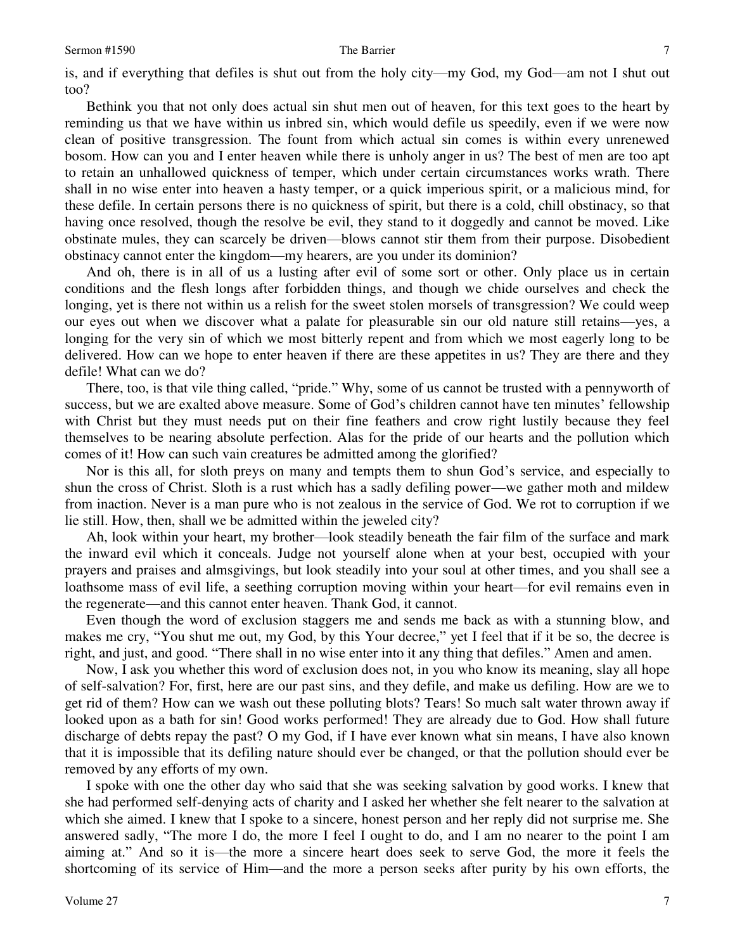is, and if everything that defiles is shut out from the holy city—my God, my God—am not I shut out too?

 Bethink you that not only does actual sin shut men out of heaven, for this text goes to the heart by reminding us that we have within us inbred sin, which would defile us speedily, even if we were now clean of positive transgression. The fount from which actual sin comes is within every unrenewed bosom. How can you and I enter heaven while there is unholy anger in us? The best of men are too apt to retain an unhallowed quickness of temper, which under certain circumstances works wrath. There shall in no wise enter into heaven a hasty temper, or a quick imperious spirit, or a malicious mind, for these defile. In certain persons there is no quickness of spirit, but there is a cold, chill obstinacy, so that having once resolved, though the resolve be evil, they stand to it doggedly and cannot be moved. Like obstinate mules, they can scarcely be driven—blows cannot stir them from their purpose. Disobedient obstinacy cannot enter the kingdom—my hearers, are you under its dominion?

 And oh, there is in all of us a lusting after evil of some sort or other. Only place us in certain conditions and the flesh longs after forbidden things, and though we chide ourselves and check the longing, yet is there not within us a relish for the sweet stolen morsels of transgression? We could weep our eyes out when we discover what a palate for pleasurable sin our old nature still retains—yes, a longing for the very sin of which we most bitterly repent and from which we most eagerly long to be delivered. How can we hope to enter heaven if there are these appetites in us? They are there and they defile! What can we do?

 There, too, is that vile thing called, "pride." Why, some of us cannot be trusted with a pennyworth of success, but we are exalted above measure. Some of God's children cannot have ten minutes' fellowship with Christ but they must needs put on their fine feathers and crow right lustily because they feel themselves to be nearing absolute perfection. Alas for the pride of our hearts and the pollution which comes of it! How can such vain creatures be admitted among the glorified?

 Nor is this all, for sloth preys on many and tempts them to shun God's service, and especially to shun the cross of Christ. Sloth is a rust which has a sadly defiling power—we gather moth and mildew from inaction. Never is a man pure who is not zealous in the service of God. We rot to corruption if we lie still. How, then, shall we be admitted within the jeweled city?

 Ah, look within your heart, my brother—look steadily beneath the fair film of the surface and mark the inward evil which it conceals. Judge not yourself alone when at your best, occupied with your prayers and praises and almsgivings, but look steadily into your soul at other times, and you shall see a loathsome mass of evil life, a seething corruption moving within your heart—for evil remains even in the regenerate—and this cannot enter heaven. Thank God, it cannot.

 Even though the word of exclusion staggers me and sends me back as with a stunning blow, and makes me cry, "You shut me out, my God, by this Your decree," yet I feel that if it be so, the decree is right, and just, and good. "There shall in no wise enter into it any thing that defiles." Amen and amen.

 Now, I ask you whether this word of exclusion does not, in you who know its meaning, slay all hope of self-salvation? For, first, here are our past sins, and they defile, and make us defiling. How are we to get rid of them? How can we wash out these polluting blots? Tears! So much salt water thrown away if looked upon as a bath for sin! Good works performed! They are already due to God. How shall future discharge of debts repay the past? O my God, if I have ever known what sin means, I have also known that it is impossible that its defiling nature should ever be changed, or that the pollution should ever be removed by any efforts of my own.

 I spoke with one the other day who said that she was seeking salvation by good works. I knew that she had performed self-denying acts of charity and I asked her whether she felt nearer to the salvation at which she aimed. I knew that I spoke to a sincere, honest person and her reply did not surprise me. She answered sadly, "The more I do, the more I feel I ought to do, and I am no nearer to the point I am aiming at." And so it is—the more a sincere heart does seek to serve God, the more it feels the shortcoming of its service of Him—and the more a person seeks after purity by his own efforts, the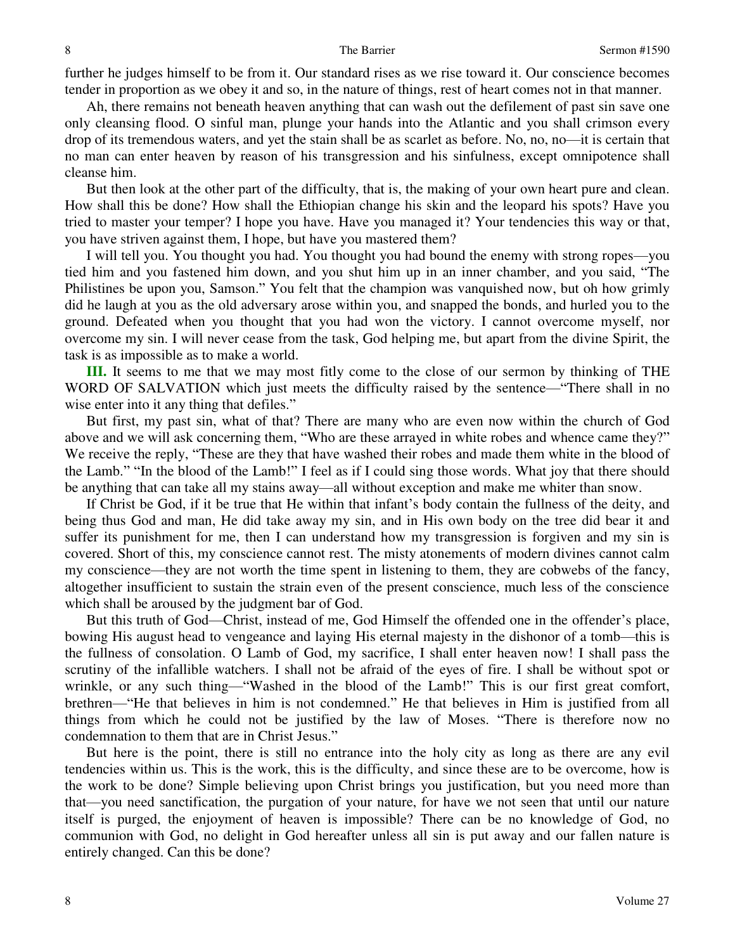further he judges himself to be from it. Our standard rises as we rise toward it. Our conscience becomes tender in proportion as we obey it and so, in the nature of things, rest of heart comes not in that manner.

 Ah, there remains not beneath heaven anything that can wash out the defilement of past sin save one only cleansing flood. O sinful man, plunge your hands into the Atlantic and you shall crimson every drop of its tremendous waters, and yet the stain shall be as scarlet as before. No, no, no—it is certain that no man can enter heaven by reason of his transgression and his sinfulness, except omnipotence shall cleanse him.

 But then look at the other part of the difficulty, that is, the making of your own heart pure and clean. How shall this be done? How shall the Ethiopian change his skin and the leopard his spots? Have you tried to master your temper? I hope you have. Have you managed it? Your tendencies this way or that, you have striven against them, I hope, but have you mastered them?

 I will tell you. You thought you had. You thought you had bound the enemy with strong ropes—you tied him and you fastened him down, and you shut him up in an inner chamber, and you said, "The Philistines be upon you, Samson." You felt that the champion was vanquished now, but oh how grimly did he laugh at you as the old adversary arose within you, and snapped the bonds, and hurled you to the ground. Defeated when you thought that you had won the victory. I cannot overcome myself, nor overcome my sin. I will never cease from the task, God helping me, but apart from the divine Spirit, the task is as impossible as to make a world.

**III.** It seems to me that we may most fitly come to the close of our sermon by thinking of THE WORD OF SALVATION which just meets the difficulty raised by the sentence—"There shall in no wise enter into it any thing that defiles."

 But first, my past sin, what of that? There are many who are even now within the church of God above and we will ask concerning them, "Who are these arrayed in white robes and whence came they?" We receive the reply, "These are they that have washed their robes and made them white in the blood of the Lamb." "In the blood of the Lamb!" I feel as if I could sing those words. What joy that there should be anything that can take all my stains away—all without exception and make me whiter than snow.

 If Christ be God, if it be true that He within that infant's body contain the fullness of the deity, and being thus God and man, He did take away my sin, and in His own body on the tree did bear it and suffer its punishment for me, then I can understand how my transgression is forgiven and my sin is covered. Short of this, my conscience cannot rest. The misty atonements of modern divines cannot calm my conscience—they are not worth the time spent in listening to them, they are cobwebs of the fancy, altogether insufficient to sustain the strain even of the present conscience, much less of the conscience which shall be aroused by the judgment bar of God.

 But this truth of God—Christ, instead of me, God Himself the offended one in the offender's place, bowing His august head to vengeance and laying His eternal majesty in the dishonor of a tomb—this is the fullness of consolation. O Lamb of God, my sacrifice, I shall enter heaven now! I shall pass the scrutiny of the infallible watchers. I shall not be afraid of the eyes of fire. I shall be without spot or wrinkle, or any such thing—"Washed in the blood of the Lamb!" This is our first great comfort, brethren—"He that believes in him is not condemned." He that believes in Him is justified from all things from which he could not be justified by the law of Moses. "There is therefore now no condemnation to them that are in Christ Jesus."

 But here is the point, there is still no entrance into the holy city as long as there are any evil tendencies within us. This is the work, this is the difficulty, and since these are to be overcome, how is the work to be done? Simple believing upon Christ brings you justification, but you need more than that—you need sanctification, the purgation of your nature, for have we not seen that until our nature itself is purged, the enjoyment of heaven is impossible? There can be no knowledge of God, no communion with God, no delight in God hereafter unless all sin is put away and our fallen nature is entirely changed. Can this be done?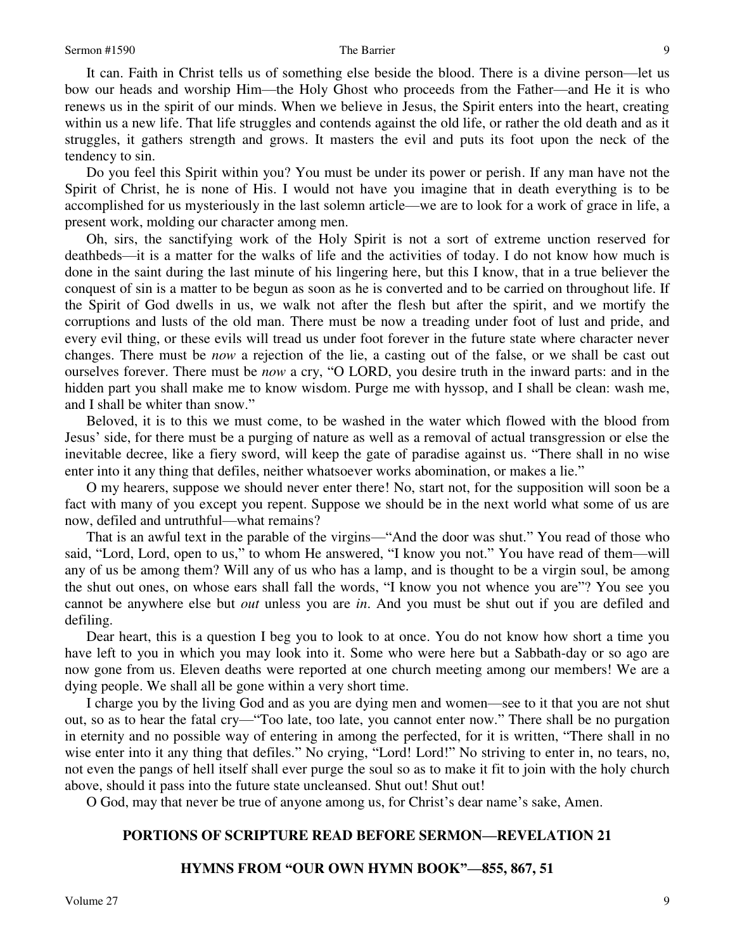It can. Faith in Christ tells us of something else beside the blood. There is a divine person—let us bow our heads and worship Him—the Holy Ghost who proceeds from the Father—and He it is who renews us in the spirit of our minds. When we believe in Jesus, the Spirit enters into the heart, creating within us a new life. That life struggles and contends against the old life, or rather the old death and as it struggles, it gathers strength and grows. It masters the evil and puts its foot upon the neck of the tendency to sin.

 Do you feel this Spirit within you? You must be under its power or perish. If any man have not the Spirit of Christ, he is none of His. I would not have you imagine that in death everything is to be accomplished for us mysteriously in the last solemn article—we are to look for a work of grace in life, a present work, molding our character among men.

 Oh, sirs, the sanctifying work of the Holy Spirit is not a sort of extreme unction reserved for deathbeds—it is a matter for the walks of life and the activities of today. I do not know how much is done in the saint during the last minute of his lingering here, but this I know, that in a true believer the conquest of sin is a matter to be begun as soon as he is converted and to be carried on throughout life. If the Spirit of God dwells in us, we walk not after the flesh but after the spirit, and we mortify the corruptions and lusts of the old man. There must be now a treading under foot of lust and pride, and every evil thing, or these evils will tread us under foot forever in the future state where character never changes. There must be *now* a rejection of the lie, a casting out of the false, or we shall be cast out ourselves forever. There must be *now* a cry, "O LORD, you desire truth in the inward parts: and in the hidden part you shall make me to know wisdom. Purge me with hyssop, and I shall be clean: wash me, and I shall be whiter than snow."

 Beloved, it is to this we must come, to be washed in the water which flowed with the blood from Jesus' side, for there must be a purging of nature as well as a removal of actual transgression or else the inevitable decree, like a fiery sword, will keep the gate of paradise against us. "There shall in no wise enter into it any thing that defiles, neither whatsoever works abomination, or makes a lie."

O my hearers, suppose we should never enter there! No, start not, for the supposition will soon be a fact with many of you except you repent. Suppose we should be in the next world what some of us are now, defiled and untruthful—what remains?

 That is an awful text in the parable of the virgins—"And the door was shut." You read of those who said, "Lord, Lord, open to us," to whom He answered, "I know you not." You have read of them—will any of us be among them? Will any of us who has a lamp, and is thought to be a virgin soul, be among the shut out ones, on whose ears shall fall the words, "I know you not whence you are"? You see you cannot be anywhere else but *out* unless you are *in*. And you must be shut out if you are defiled and defiling.

 Dear heart, this is a question I beg you to look to at once. You do not know how short a time you have left to you in which you may look into it. Some who were here but a Sabbath-day or so ago are now gone from us. Eleven deaths were reported at one church meeting among our members! We are a dying people. We shall all be gone within a very short time.

 I charge you by the living God and as you are dying men and women—see to it that you are not shut out, so as to hear the fatal cry—"Too late, too late, you cannot enter now." There shall be no purgation in eternity and no possible way of entering in among the perfected, for it is written, "There shall in no wise enter into it any thing that defiles." No crying, "Lord! Lord!" No striving to enter in, no tears, no, not even the pangs of hell itself shall ever purge the soul so as to make it fit to join with the holy church above, should it pass into the future state uncleansed. Shut out! Shut out!

O God, may that never be true of anyone among us, for Christ's dear name's sake, Amen.

### **PORTIONS OF SCRIPTURE READ BEFORE SERMON—REVELATION 21**

### **HYMNS FROM "OUR OWN HYMN BOOK"—855, 867, 51**